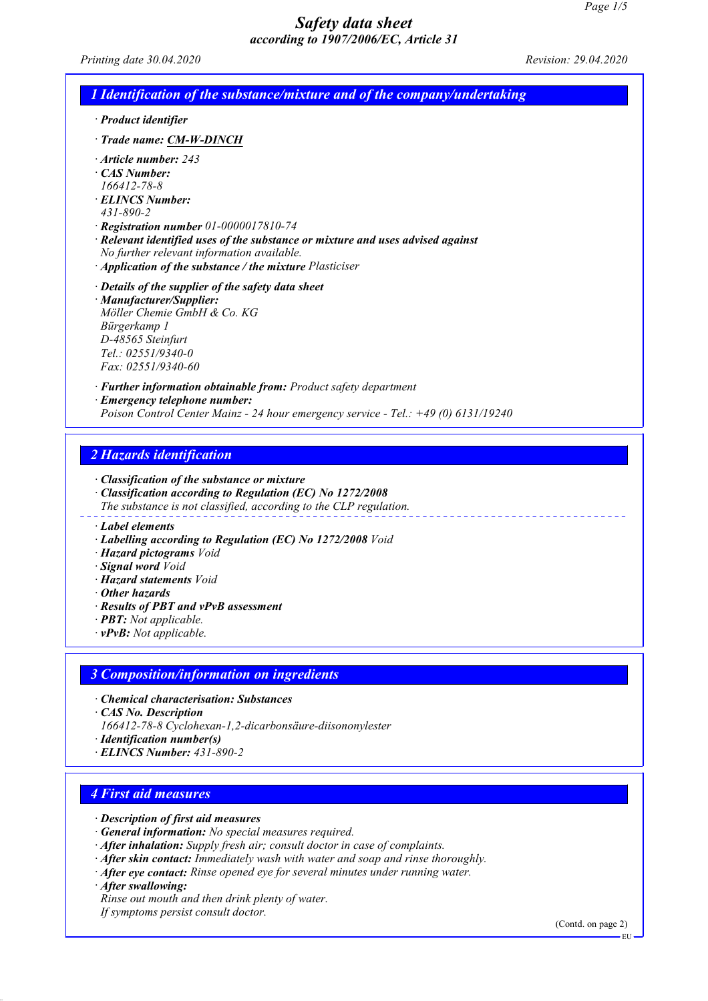*Printing date 30.04.2020 Revision: 29.04.2020*

| $\cdot$ Product identifier |                                                                                    |
|----------------------------|------------------------------------------------------------------------------------|
|                            | Trade name: CM-W-DINCH                                                             |
|                            | $\cdot$ Article number: 243                                                        |
| CAS Number:                |                                                                                    |
| 166412-78-8                |                                                                                    |
|                            | <b>ELINCS Number:</b>                                                              |
| $431 - 890 - 2$            |                                                                                    |
|                            | $\cdot$ Registration number 01-0000017810-74                                       |
|                            | · Relevant identified uses of the substance or mixture and uses advised against    |
|                            | No further relevant information available.                                         |
|                            | $\cdot$ Application of the substance / the mixture Plasticiser                     |
|                            | $\cdot$ Details of the supplier of the safety data sheet                           |
|                            | · Manufacturer/Supplier:                                                           |
|                            | Möller Chemie GmbH & Co. KG                                                        |
| Bürgerkamp 1               |                                                                                    |
| D-48565 Steinfurt          |                                                                                    |
|                            | $Tel: 02551/9340-0$                                                                |
|                            | Fax: 02551/9340-60                                                                 |
|                            | $\cdot$ <b>Further information obtainable from:</b> Product safety department      |
|                            | · Emergency telephone number:                                                      |
|                            | Poison Control Center Mainz - 24 hour emergency service - Tel.: +49 (0) 6131/19240 |

#### *2 Hazards identification*

*· Classification of the substance or mixture*

- *· Classification according to Regulation (EC) No 1272/2008*
- *The substance is not classified, according to the CLP regulation.*
- *· Label elements*
- *· Labelling according to Regulation (EC) No 1272/2008 Void*
- *· Hazard pictograms Void*
- *· Signal word Void*
- *· Hazard statements Void*
- *· Other hazards*
- *· Results of PBT and vPvB assessment*
- *· PBT: Not applicable.*
- *· vPvB: Not applicable.*

#### *3 Composition/information on ingredients*

- *· Chemical characterisation: Substances*
- *· CAS No. Description*
- *166412-78-8 Cyclohexan-1,2-dicarbonsäure-diisononylester*
- *· Identification number(s)*
- *· ELINCS Number: 431-890-2*

### *4 First aid measures*

- *· Description of first aid measures*
- *· General information: No special measures required.*
- *· After inhalation: Supply fresh air; consult doctor in case of complaints.*
- *· After skin contact: Immediately wash with water and soap and rinse thoroughly.*
- *· After eye contact: Rinse opened eye for several minutes under running water.*
- *· After swallowing:*
- *Rinse out mouth and then drink plenty of water.*

*If symptoms persist consult doctor.*

(Contd. on page 2)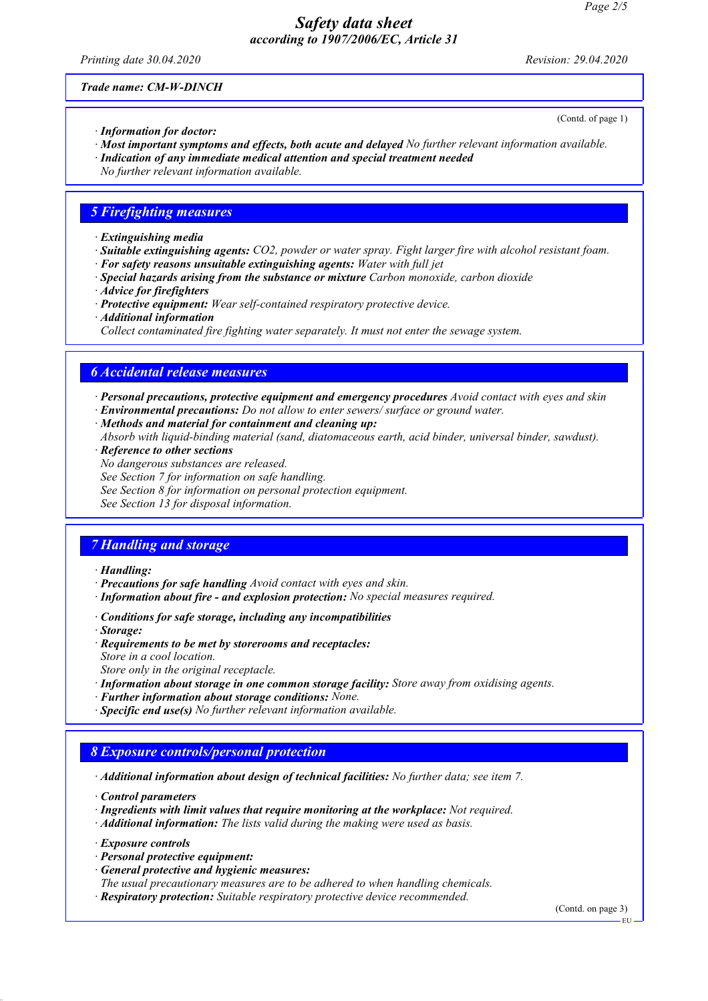*Printing date 30.04.2020 Revision: 29.04.2020*

(Contd. of page 1)

*Trade name: CM-W-DINCH*

- *· Information for doctor:*
- *· Most important symptoms and effects, both acute and delayed No further relevant information available.*
- *· Indication of any immediate medical attention and special treatment needed*
- *No further relevant information available.*

#### *5 Firefighting measures*

- *· Extinguishing media*
- *· Suitable extinguishing agents: CO2, powder or water spray. Fight larger fire with alcohol resistant foam.*
- *· For safety reasons unsuitable extinguishing agents: Water with full jet*
- *· Special hazards arising from the substance or mixture Carbon monoxide, carbon dioxide*
- *· Advice for firefighters*
- *· Protective equipment: Wear self-contained respiratory protective device.*
- *· Additional information*
- *Collect contaminated fire fighting water separately. It must not enter the sewage system.*

### *6 Accidental release measures*

- *· Personal precautions, protective equipment and emergency procedures Avoid contact with eyes and skin*
- *· Environmental precautions: Do not allow to enter sewers/ surface or ground water.*
- *· Methods and material for containment and cleaning up:*
- *Absorb with liquid-binding material (sand, diatomaceous earth, acid binder, universal binder, sawdust).*
- *· Reference to other sections*
- *No dangerous substances are released.*
- *See Section 7 for information on safe handling.*
- *See Section 8 for information on personal protection equipment.*

*See Section 13 for disposal information.*

### *7 Handling and storage*

- *· Handling:*
- *· Precautions for safe handling Avoid contact with eyes and skin.*
- *· Information about fire and explosion protection: No special measures required.*
- *· Conditions for safe storage, including any incompatibilities*
- *· Storage:*
- *· Requirements to be met by storerooms and receptacles: Store in a cool location.*
- *Store only in the original receptacle.*
- *· Information about storage in one common storage facility: Store away from oxidising agents.*
- *· Further information about storage conditions: None.*
- *· Specific end use(s) No further relevant information available.*

## *8 Exposure controls/personal protection*

*· Additional information about design of technical facilities: No further data; see item 7.*

*· Control parameters*

- *· Ingredients with limit values that require monitoring at the workplace: Not required.*
- *· Additional information: The lists valid during the making were used as basis.*

*· Exposure controls*

- *· Personal protective equipment:*
- *· General protective and hygienic measures:*
- *The usual precautionary measures are to be adhered to when handling chemicals.*
- *· Respiratory protection: Suitable respiratory protective device recommended.*

(Contd. on page 3)

EU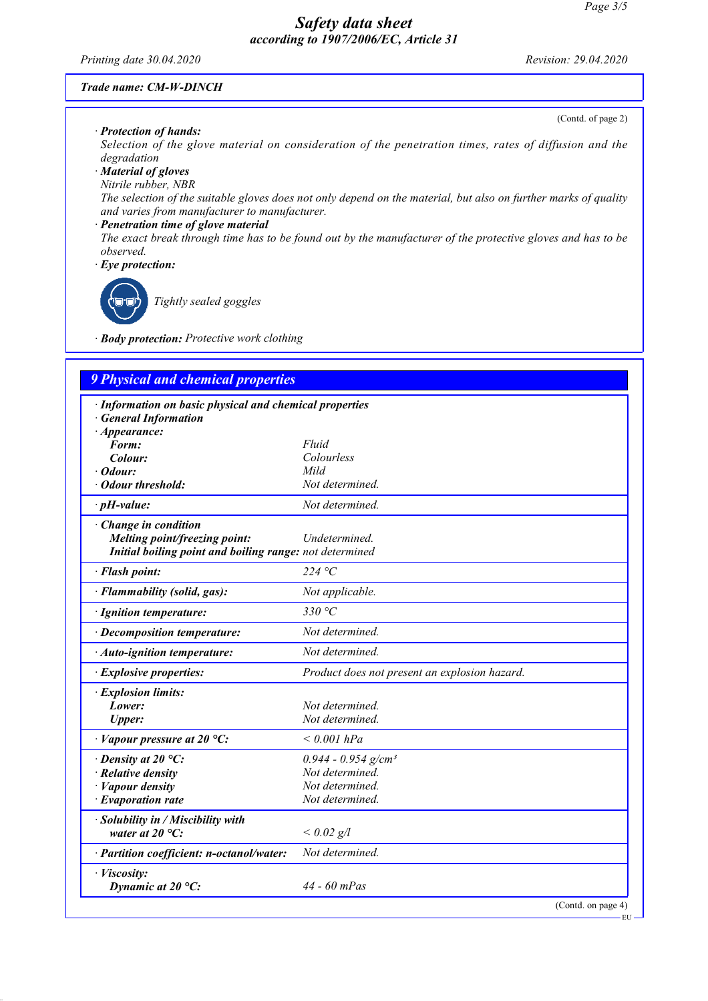#### *Printing date 30.04.2020 Revision: 29.04.2020*

(Contd. of page 2)

#### *Trade name: CM-W-DINCH*

#### *· Protection of hands:*

*Selection of the glove material on consideration of the penetration times, rates of diffusion and the degradation*

# *· Material of gloves*

*Nitrile rubber, NBR*

*The selection of the suitable gloves does not only depend on the material, but also on further marks of quality and varies from manufacturer to manufacturer.*

#### *· Penetration time of glove material*

*The exact break through time has to be found out by the manufacturer of the protective gloves and has to be observed.*

*· Eye protection:*

*Tightly sealed goggles*

*· Body protection: Protective work clothing*

| <b>9 Physical and chemical properties</b>               |                                               |
|---------------------------------------------------------|-----------------------------------------------|
| · Information on basic physical and chemical properties |                                               |
| <b>General Information</b>                              |                                               |
| $\cdot$ Appearance:                                     |                                               |
| Form:                                                   | Fluid                                         |
| Colour:                                                 | Colourless                                    |
| Odour:                                                  | Mild                                          |
| · Odour threshold:                                      | Not determined.                               |
| $\cdot$ pH-value:                                       | Not determined.                               |
| · Change in condition                                   |                                               |
| Melting point/freezing point:                           | Undetermined.                                 |
| Initial boiling point and boiling range: not determined |                                               |
| · Flash point:                                          | 224 °C                                        |
| · Flammability (solid, gas):                            | Not applicable.                               |
| · Ignition temperature:                                 | 330 $\degree$ C                               |
| · Decomposition temperature:                            | Not determined.                               |
| $\cdot$ Auto-ignition temperature:                      | Not determined.                               |
| · Explosive properties:                                 | Product does not present an explosion hazard. |
| · Explosion limits:                                     |                                               |
| Lower:                                                  | Not determined.                               |
| <b>Upper:</b>                                           | Not determined.                               |
| $\cdot$ Vapour pressure at 20 °C:                       | $< 0.001$ hPa                                 |
| $\cdot$ Density at 20 °C:                               | $0.944 - 0.954$ g/cm <sup>3</sup>             |
| $\cdot$ Relative density                                | Not determined.                               |
| · Vapour density                                        | Not determined.                               |
| $\cdot$ Evaporation rate                                | Not determined.                               |
| · Solubility in / Miscibility with                      |                                               |
| water at $20^{\circ}$ C:                                | $< 0.02$ g/l                                  |
| · Partition coefficient: n-octanol/water:               | Not determined.                               |
| · Viscosity:                                            |                                               |
| Dynamic at $20^{\circ}$ C:                              | 44 - 60 mPas                                  |

(Contd. on page 4)

EU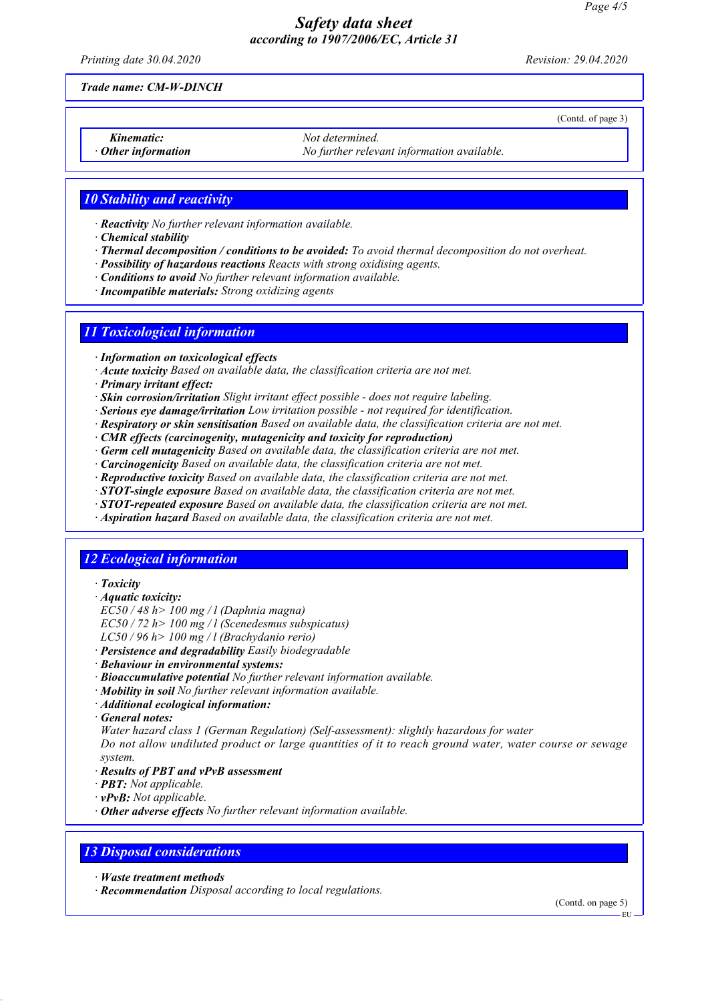*Printing date 30.04.2020 Revision: 29.04.2020*

(Contd. of page 3)

*Trade name: CM-W-DINCH*

**Kinematic:** *Not determined. Chinemation Not determined. Not determined. · Other information No further relevant information available.*

# *10 Stability and reactivity*

- *· Reactivity No further relevant information available.*
- *· Chemical stability*
- *· Thermal decomposition / conditions to be avoided: To avoid thermal decomposition do not overheat.*
- *· Possibility of hazardous reactions Reacts with strong oxidising agents.*
- *· Conditions to avoid No further relevant information available.*
- *· Incompatible materials: Strong oxidizing agents*

# *11 Toxicological information*

- *· Information on toxicological effects*
- *· Acute toxicity Based on available data, the classification criteria are not met.*
- *· Primary irritant effect:*
- *· Skin corrosion/irritation Slight irritant effect possible does not require labeling.*
- *· Serious eye damage/irritation Low irritation possible not required for identification.*
- *· Respiratory or skin sensitisation Based on available data, the classification criteria are not met.*
- *· CMR effects (carcinogenity, mutagenicity and toxicity for reproduction)*
- *· Germ cell mutagenicity Based on available data, the classification criteria are not met.*
- *· Carcinogenicity Based on available data, the classification criteria are not met.*
- *· Reproductive toxicity Based on available data, the classification criteria are not met.*
- *· STOT-single exposure Based on available data, the classification criteria are not met.*
- *· STOT-repeated exposure Based on available data, the classification criteria are not met.*
- *· Aspiration hazard Based on available data, the classification criteria are not met.*

## *12 Ecological information*

- *· Toxicity*
- *· Aquatic toxicity:*
- *EC50 / 48 h> 100 mg / l (Daphnia magna)*
- *EC50 / 72 h> 100 mg / l (Scenedesmus subspicatus)*
- *LC50 / 96 h> 100 mg / l (Brachydanio rerio)*
- *· Persistence and degradability Easily biodegradable*
- *· Behaviour in environmental systems:*
- *· Bioaccumulative potential No further relevant information available.*
- *· Mobility in soil No further relevant information available.*
- *· Additional ecological information:*
- *· General notes:*

*Water hazard class 1 (German Regulation) (Self-assessment): slightly hazardous for water*

*Do not allow undiluted product or large quantities of it to reach ground water, water course or sewage system.*

- *· Results of PBT and vPvB assessment*
- *· PBT: Not applicable.*
- *· vPvB: Not applicable.*
- *· Other adverse effects No further relevant information available.*

### *13 Disposal considerations*

- *· Waste treatment methods*
- *· Recommendation Disposal according to local regulations.*

(Contd. on page 5)

EU